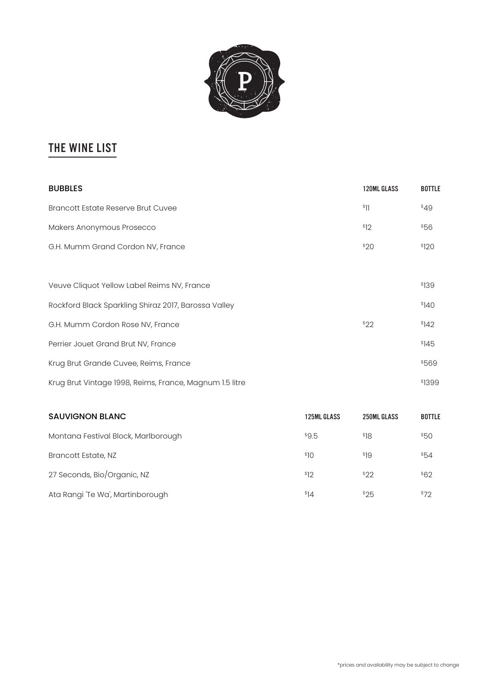

# The wine list

| <b>BUBBLES</b>                                          | 120ML GLASS | <b>BOTTLE</b> |
|---------------------------------------------------------|-------------|---------------|
| <b>Brancott Estate Reserve Brut Cuvee</b>               | \$11        | \$49          |
| Makers Anonymous Prosecco                               | \$12        | \$56          |
| G.H. Mumm Grand Cordon NV, France                       | \$20        | \$120         |
|                                                         |             |               |
| Veuve Cliquot Yellow Label Reims NV, France             |             | \$139         |
| Rockford Black Sparkling Shiraz 2017, Barossa Valley    |             | \$140         |
| G.H. Mumm Cordon Rose NV, France                        | \$22        | \$142         |
| Perrier Jouet Grand Brut NV, France                     |             | \$145         |
| Krug Brut Grande Cuvee, Reims, France                   |             | \$569         |
| Krug Brut Vintage 1998, Reims, France, Magnum 1.5 litre |             | \$1399        |

| <b>SAUVIGNON BLANC</b>              | <b>125ML GLASS</b> | 250ML GLASS | <b>BOTTLE</b> |
|-------------------------------------|--------------------|-------------|---------------|
| Montana Festival Block, Marlborough | \$9.5              | \$18        | \$50          |
| <b>Brancott Estate, NZ</b>          | <sup>\$10</sup>    | \$19        | \$54          |
| 27 Seconds, Bio/Organic, NZ         | \$12               | \$22        | \$62          |
| Ata Rangi 'Te Wa', Martinborough    | <sup>\$14</sup>    | \$25        | \$72          |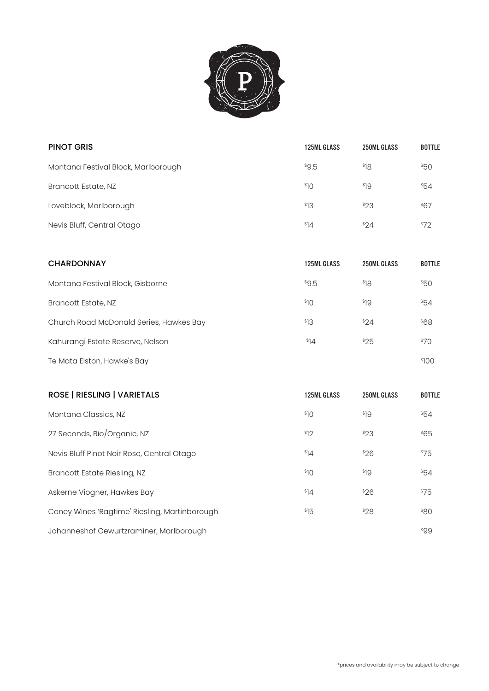

| <b>125ML GLASS</b> | <b>250ML GLASS</b> | <b>BOTTLE</b> |
|--------------------|--------------------|---------------|
| \$9.5              | \$18               | \$50          |
| \$10               | \$19               | \$54          |
| \$13               | \$23               | \$67          |
| \$14               | \$24               | \$72          |
|                    |                    |               |

| <b>CHARDONNAY</b>                       | <b>125ML GLASS</b> | 250ML GLASS | <b>BOTTLE</b> |
|-----------------------------------------|--------------------|-------------|---------------|
| Montana Festival Block, Gisborne        | \$9.5              | \$18        | \$50          |
| Brancott Estate, NZ                     | \$10               | \$19        | \$54          |
| Church Road McDonald Series, Hawkes Bay | \$13               | \$24        | \$68          |
| Kahurangi Estate Reserve, Nelson        | \$14               | \$25        | \$70          |
| Te Mata Elston, Hawke's Bay             |                    |             | \$100         |

| <b>ROSE   RIESLING   VARIETALS</b>            | <b>125ML GLASS</b> | <b>250ML GLASS</b> | <b>BOTTLE</b> |
|-----------------------------------------------|--------------------|--------------------|---------------|
| Montana Classics, NZ                          | \$10               | \$19               | \$54          |
| 27 Seconds, Bio/Organic, NZ                   | \$12               | \$23               | \$65          |
| Nevis Bluff Pinot Noir Rose, Central Otago    | \$14               | \$26               | \$75          |
| Brancott Estate Riesling, NZ                  | \$10               | \$19               | \$54          |
| Askerne Viogner, Hawkes Bay                   | \$14               | \$26               | \$75          |
| Coney Wines 'Ragtime' Riesling, Martinborough | \$15               | \$28               | \$80          |
| Johanneshof Gewurtzraminer, Marlborough       |                    |                    | \$99          |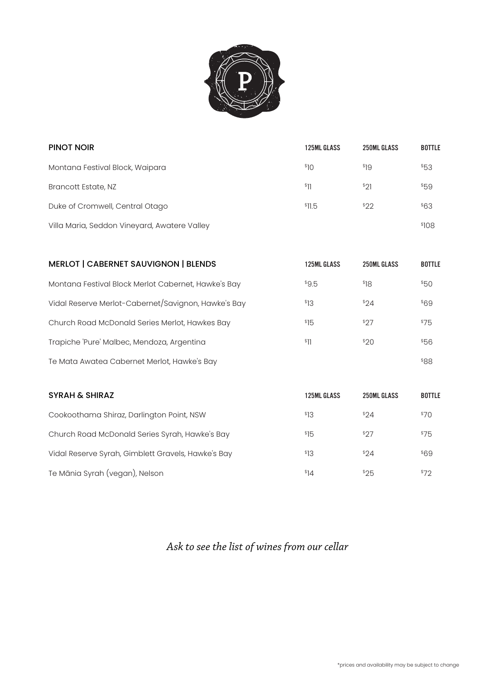

| <b>PINOT NOIR</b>                            | <b>125ML GLASS</b> | 250ML GLASS | <b>BOTTLE</b> |
|----------------------------------------------|--------------------|-------------|---------------|
| Montana Festival Block, Waipara              | \$10               | \$19        | \$53          |
| Brancott Estate, NZ                          | \$11               | $^{\$}21$   | \$59          |
| Duke of Cromwell, Central Otago              | \$11.5             | \$22        | \$63          |
| Villa Maria, Seddon Vineyard, Awatere Valley |                    |             | \$108         |

| <b>MERLOT   CABERNET SAUVIGNON   BLENDS</b>         | 125ML GLASS      | <b>250ML GLASS</b> | <b>BOTTLE</b> |
|-----------------------------------------------------|------------------|--------------------|---------------|
| Montana Festival Block Merlot Cabernet, Hawke's Bay | \$9.5            | \$18               | \$50          |
| Vidal Reserve Merlot-Cabernet/Savignon, Hawke's Bay | <sup>\$</sup> 13 | \$24               | \$69          |
| Church Road McDonald Series Merlot, Hawkes Bay      | \$15             | \$27               | \$75          |
| Trapiche 'Pure' Malbec, Mendoza, Argentina          | \$11             | 320                | \$56          |
| Te Mata Awatea Cabernet Merlot, Hawke's Bay         |                  |                    | 88\$          |

| <b>SYRAH &amp; SHIRAZ</b>                          | <b>125ML GLASS</b> | 250ML GLASS | <b>BOTTLE</b> |
|----------------------------------------------------|--------------------|-------------|---------------|
| Cookoothama Shiraz, Darlington Point, NSW          | \$13               | \$24        | \$70          |
| Church Road McDonald Series Syrah, Hawke's Bay     | \$15               | \$27        | \$75          |
| Vidal Reserve Syrah, Gimblett Gravels, Hawke's Bay | \$13               | \$24        | \$69          |
| Te Mānia Syrah (vegan), Nelson                     | \$14               | \$25        | \$72          |

*Ask to see the list of wines from our cellar*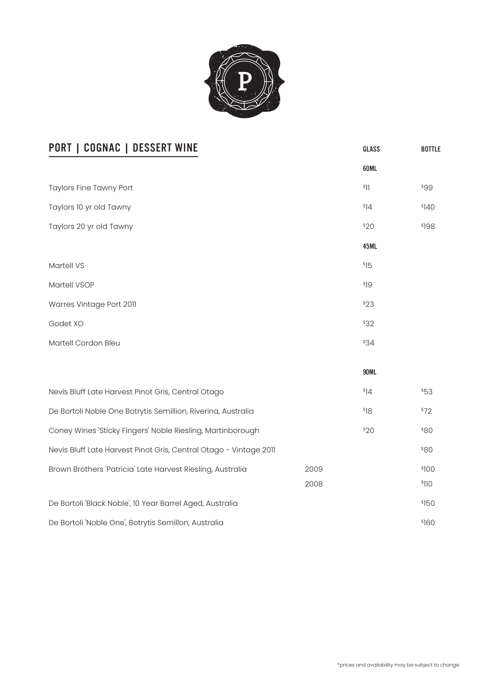

| <b>PORT   COGNAC   DESSERT WINE</b>                               |      | GLASS | <b>BOTTLE</b> |
|-------------------------------------------------------------------|------|-------|---------------|
|                                                                   |      | 60ML  |               |
| <b>Taylors Fine Tawny Port</b>                                    |      | \$11  | \$99          |
| Taylors 10 yr old Tawny                                           |      | \$14  | \$140         |
| Taylors 20 yr old Tawny                                           |      | \$20  | \$198         |
|                                                                   |      | 45ML  |               |
| Martell VS                                                        |      | \$15  |               |
| Martell VSOP                                                      |      | \$19  |               |
| Warres Vintage Port 2011                                          |      | \$23  |               |
| Godet XO                                                          |      | \$32  |               |
| Martell Cordon Bleu                                               |      | \$34  |               |
|                                                                   |      |       |               |
|                                                                   |      | 90ML  |               |
| Nevis Bluff Late Harvest Pinot Gris, Central Otago                |      | \$14  | \$53          |
| De Bortoli Noble One Botrytis Semillion, Riverina, Australia      |      | \$18  | \$72          |
| Coney Wines 'Sticky Fingers' Noble Riesling, Martinborough        |      | \$20  | <b>880</b>    |
| Nevis Bluff Late Harvest Pinot Gris, Central Otago - Vintage 2011 |      |       | <b>\$80</b>   |
| Brown Brothers 'Patricia' Late Harvest Riesling, Australia        | 2009 |       | \$100         |
|                                                                   | 2008 |       | \$110         |
| De Bortoli 'Black Noble', 10 Year Barrel Aged, Australia          |      |       | \$150         |
| De Bortoli 'Noble One', Botrytis Semillon, Australia              |      |       | \$160         |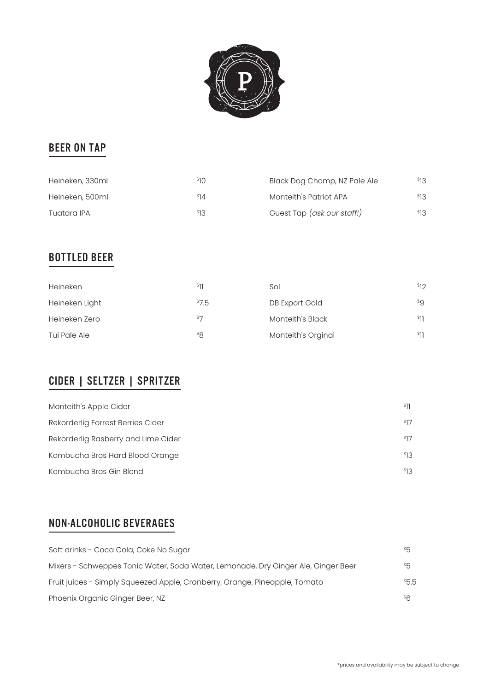

## beer ON TAP

| Heineken, 330ml | <sup>နေ</sup> ဂ | Black Dog Chomp, NZ Pale Ale | <sup>\$</sup> 13 |
|-----------------|-----------------|------------------------------|------------------|
| Heineken, 500ml | \$14            | Monteith's Patriot APA       | \$13             |
| Tuatara IPA     | <sup>\$13</sup> | Guest Tap (ask our staff!)   | <sup>\$</sup> 13 |

## Bottled beer

| Heineken       | \$11  | Sol                | \$12 |
|----------------|-------|--------------------|------|
| Heineken Light | \$7.5 | DB Export Gold     | \$9  |
| Heineken Zero  | \$7   | Monteith's Black   | \$11 |
| Tui Pale Ale   | \$8   | Monteith's Orginal | \$11 |

# CIder | Seltzer | Spritzer

| Monteith's Apple Cider              | \$11 |
|-------------------------------------|------|
| Rekorderlig Forrest Berries Cider   | \$17 |
| Rekorderlig Rasberry and Lime Cider | \$17 |
| Kombucha Bros Hard Blood Orange     | \$13 |
| Kombucha Bros Gin Blend             | \$13 |

# non-alcoholic beverages

| Soft drinks - Coca Cola, Coke No Sugar                                            | \$5      |
|-----------------------------------------------------------------------------------|----------|
| Mixers - Schweppes Tonic Water, Soda Water, Lemonade, Dry Ginger Ale, Ginger Beer | $^{\$}5$ |
| Fruit juices - Simply Squeezed Apple, Cranberry, Orange, Pineapple, Tomato        | \$5.5    |
| Phoenix Organic Ginger Beer, NZ                                                   | \$6      |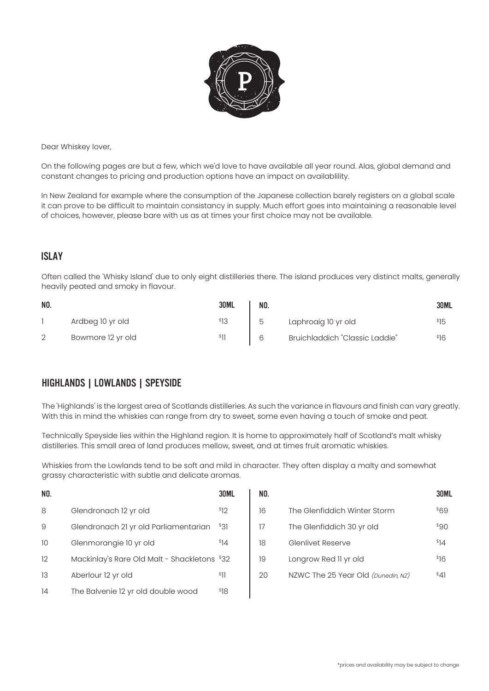

Dear Whiskey lover,

On the following pages are but a few, which we'd love to have available all year round. Alas, global demand and constant changes to pricing and production options have an impact on availablility.

In New Zealand for example where the consumption of the Japanese collection barely registers on a global scale it can prove to be difficult to maintain consistancy in supply. Much effort goes into maintaining a reasonable level of choices, however, please bare with us as at times your first choice may not be available.

#### Islay

Often called the 'Whisky Island' due to only eight distilleries there. The island produces very distinct malts, generally heavily peated and smoky in flavour.

| NO. |                   | <b>30ML</b> | NO. |                                | <b>30ML</b> |
|-----|-------------------|-------------|-----|--------------------------------|-------------|
|     | Ardbeg 10 yr old  |             | h   | Laphroaig 10 yr old            |             |
|     | Bowmore 12 yr old |             |     | Bruichladdich "Classic Laddie" | 16ء         |

### Highlands | Lowlands | Speyside

The 'Highlands' is the largest area of Scotlands distilleries. As such the variance in flavours and finish can vary greatly. With this in mind the whiskies can range from dry to sweet, some even having a touch of smoke and peat.

Technically Speyside lies within the Highland region. It is home to approximately half of Scotland's malt whisky distilleries. This small area of land produces mellow, sweet, and at times fruit aromatic whiskies.

Whiskies from the Lowlands tend to be soft and mild in character. They often display a malty and somewhat grassy characteristic with subtle and delicate aromas.

| NO. |                                              | <b>30ML</b>      | NO. |                                    | <b>30ML</b> |
|-----|----------------------------------------------|------------------|-----|------------------------------------|-------------|
| 8   | Glendronach 12 yr old                        | \$12             | 16  | The Glenfiddich Winter Storm       | \$69        |
| 9   | Glendronach 21 yr old Parliamentarian        | \$31             | 17  | The Glenfiddich 30 yr old          | \$90        |
| 10  | Glenmorangie 10 yr old                       | 4                | 18  | <b>Glenlivet Reserve</b>           | \$14        |
| 12  | Mackinlay's Rare Old Malt - Shackletons \$32 |                  | 19  | Longrow Red II yr old              | \$16        |
| 13  | Aberlour 12 yr old                           | $ {}^{3}$ ]]     | 20  | NZWC The 25 Year Old (Dunedin, NZ) | $^{\$}41$   |
| 14  | The Balvenie 12 yr old double wood           | <sup>\$</sup> 18 |     |                                    |             |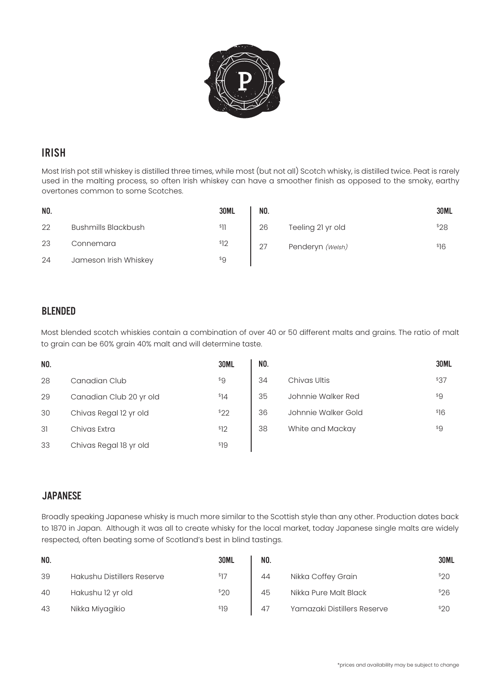

### **IRISH**

Most Irish pot still whiskey is distilled three times, while most (but not all) Scotch whisky, is distilled twice. Peat is rarely used in the malting process, so often Irish whiskey can have a smoother finish as opposed to the smoky, earthy overtones common to some Scotches.

| NO. |                       | <b>30ML</b> | NO. |                   | 30ML |
|-----|-----------------------|-------------|-----|-------------------|------|
| 22  | Bushmills Blackbush   | \$11        | 26  | Teeling 21 yr old | \$28 |
| 23  | Connemara             | \$12        | 27  | Penderyn (Welsh)  | \$16 |
| 24  | Jameson Irish Whiskey | $^{\$}9$    |     |                   |      |

### Blended

Most blended scotch whiskies contain a combination of over 40 or 50 different malts and grains. The ratio of malt to grain can be 60% grain 40% malt and will determine taste.

| NO. |                         | <b>30ML</b> | NO. |                     | <b>30ML</b> |
|-----|-------------------------|-------------|-----|---------------------|-------------|
| 28  | Canadian Club           | $^{\$}9$    | 34  | Chivas Ultis        | \$37        |
| 29  | Canadian Club 20 yr old | \$14        | 35  | Johnnie Walker Red  | \$9         |
| 30  | Chivas Regal 12 yr old  | $^{\$}22$   | 36  | Johnnie Walker Gold | \$16        |
| 31  | Chivas Extra            | \$12        | 38  | White and Mackay    | \$9         |
| 33  | Chivas Regal 18 yr old  | \$19        |     |                     |             |

#### **JAPANESE**

Broadly speaking Japanese whisky is much more similar to the Scottish style than any other. Production dates back to 1870 in Japan. Although it was all to create whisky for the local market, today Japanese single malts are widely respected, often beating some of Scotland's best in blind tastings.

| NO. |                                   | 30ML             | NO. |                             | <b>30ML</b> |
|-----|-----------------------------------|------------------|-----|-----------------------------|-------------|
| 39  | <b>Hakushu Distillers Reserve</b> | \$17             | 44  | Nikka Coffey Grain          | \$20        |
| 40  | Hakushu 12 yr old                 | <sup>\$20</sup>  | 45  | Nikka Pure Malt Black       | \$26        |
| 43  | Nikka Miyagikio                   | <sup>\$</sup> 19 | 47  | Yamazaki Distillers Reserve | \$20        |